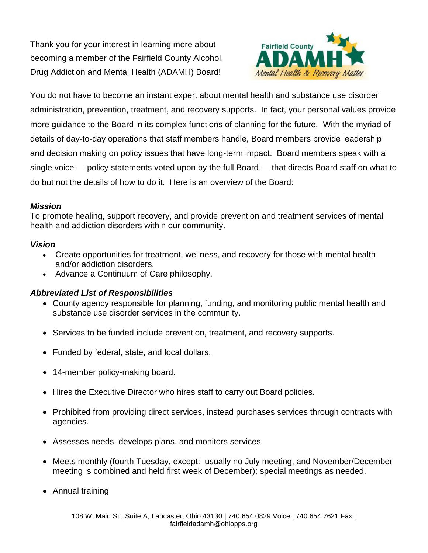Thank you for your interest in learning more about becoming a member of the Fairfield County Alcohol, Drug Addiction and Mental Health (ADAMH) Board!



You do not have to become an instant expert about mental health and substance use disorder administration, prevention, treatment, and recovery supports. In fact, your personal values provide more guidance to the Board in its complex functions of planning for the future. With the myriad of details of day-to-day operations that staff members handle, Board members provide leadership and decision making on policy issues that have long-term impact. Board members speak with a single voice — policy statements voted upon by the full Board — that directs Board staff on what to do but not the details of how to do it. Here is an overview of the Board:

## *Mission*

To promote healing, support recovery, and provide prevention and treatment services of mental health and addiction disorders within our community.

## *Vision*

- Create opportunities for treatment, wellness, and recovery for those with mental health and/or addiction disorders.
- Advance a Continuum of Care philosophy.

## *Abbreviated List of Responsibilities*

- County agency responsible for planning, funding, and monitoring public mental health and substance use disorder services in the community.
- Services to be funded include prevention, treatment, and recovery supports.
- Funded by federal, state, and local dollars.
- 14-member policy-making board.
- Hires the Executive Director who hires staff to carry out Board policies.
- Prohibited from providing direct services, instead purchases services through contracts with agencies.
- Assesses needs, develops plans, and monitors services.
- Meets monthly (fourth Tuesday, except: usually no July meeting, and November/December meeting is combined and held first week of December); special meetings as needed.
- Annual training